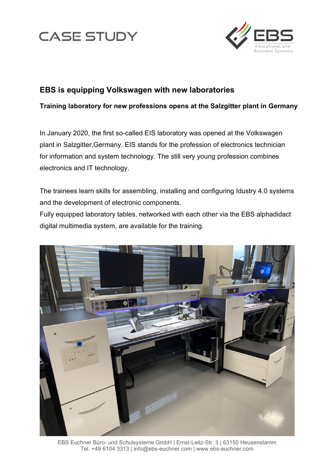



## **EBS is equipping Volkswagen with new laboratories**

## **Training laboratory for new professions opens at the Salzgitter plant in Germany**

In January 2020, the first so-called EIS laboratory was opened at the Volkswagen plant in Salzgitter,Germany. EIS stands for the profession of electronics technician for information and system technology. The still very young profession combines electronics and IT technology.

The trainees learn skills for assembling, installing and configuring Idustry 4.0 systems and the development of electronic components.

Fully equipped laboratory tables, networked with each other via the EBS alphadidact digital multimedia system, are available for the training.



EBS Euchner Büro- und Schulsysteme GmbH | Ernst-Leitz-Str. 3 | 63150 Heusenstamm Tel. +49 6104 3313 | info@ebs-euchner.com | www.ebs-euchner.com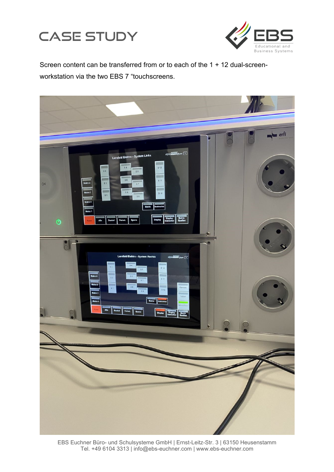



Screen content can be transferred from or to each of the 1 + 12 dual-screenworkstation via the two EBS 7 "touchscreens.

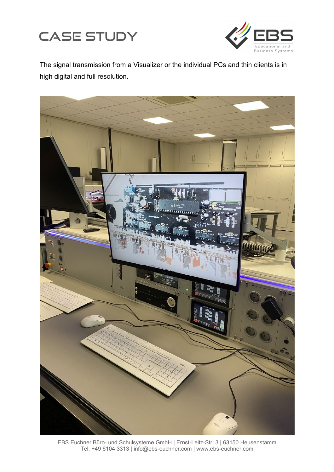



The signal transmission from a Visualizer or the individual PCs and thin clients is in high digital and full resolution.



EBS Euchner Büro- und Schulsysteme GmbH | Ernst-Leitz-Str. 3 | 63150 Heusenstamm Tel. +49 6104 3313 | info@ebs-euchner.com | www.ebs-euchner.com